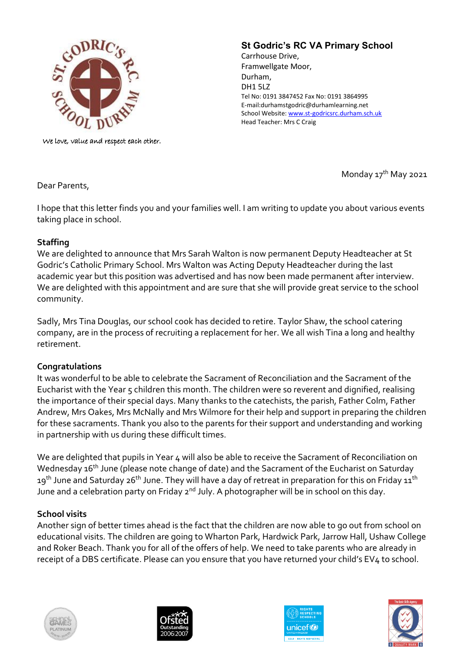

We love, value and respect each other.

# **St Godric's RC VA Primary School**

Carrhouse Drive, Framwellgate Moor, Durham, DH1 5LZ Tel No: 0191 3847452 Fax No: 0191 3864995 E-mail:durhamstgodric@durhamlearning.net School Website[: www.st-godricsrc.durham.sch.uk](http://www.st-godricsrc.durham.sch.uk/) Head Teacher: Mrs C Craig

Monday 17<sup>th</sup> May 2021

Dear Parents,

I hope that this letter finds you and your families well. I am writing to update you about various events taking place in school.

### **Staffing**

We are delighted to announce that Mrs Sarah Walton is now permanent Deputy Headteacher at St Godric's Catholic Primary School. Mrs Walton was Acting Deputy Headteacher during the last academic year but this position was advertised and has now been made permanent after interview. We are delighted with this appointment and are sure that she will provide great service to the school community.

Sadly, Mrs Tina Douglas, our school cook has decided to retire. Taylor Shaw, the school catering company, are in the process of recruiting a replacement for her. We all wish Tina a long and healthy retirement.

### **Congratulations**

It was wonderful to be able to celebrate the Sacrament of Reconciliation and the Sacrament of the Eucharist with the Year 5 children this month. The children were so reverent and dignified, realising the importance of their special days. Many thanks to the catechists, the parish, Father Colm, Father Andrew, Mrs Oakes, Mrs McNally and Mrs Wilmore for their help and support in preparing the children for these sacraments. Thank you also to the parents for their support and understanding and working in partnership with us during these difficult times.

We are delighted that pupils in Year 4 will also be able to receive the Sacrament of Reconciliation on Wednesday 16<sup>th</sup> June (please note change of date) and the Sacrament of the Eucharist on Saturday 19<sup>th</sup> June and Saturday 26<sup>th</sup> June. They will have a day of retreat in preparation for this on Friday 11<sup>th</sup> June and a celebration party on Friday  $2<sup>nd</sup>$  July. A photographer will be in school on this day.

### **School visits**

Another sign of better times ahead is the fact that the children are now able to go out from school on educational visits. The children are going to Wharton Park, Hardwick Park, Jarrow Hall, Ushaw College and Roker Beach. Thank you for all of the offers of help. We need to take parents who are already in receipt of a DBS certificate. Please can you ensure that you have returned your child's EV4 to school.







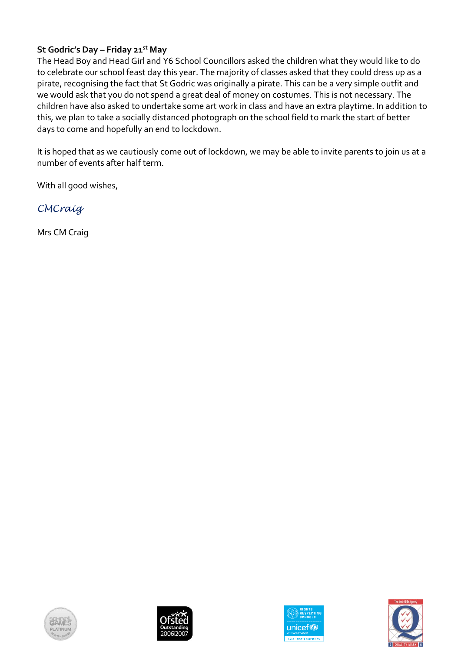# **St Godric's Day – Friday 21st May**

The Head Boy and Head Girl and Y6 School Councillors asked the children what they would like to do to celebrate our school feast day this year. The majority of classes asked that they could dress up as a pirate, recognising the fact that St Godric was originally a pirate. This can be a very simple outfit and we would ask that you do not spend a great deal of money on costumes. This is not necessary. The children have also asked to undertake some art work in class and have an extra playtime. In addition to this, we plan to take a socially distanced photograph on the school field to mark the start of better days to come and hopefully an end to lockdown.

It is hoped that as we cautiously come out of lockdown, we may be able to invite parents to join us at a number of events after half term.

With all good wishes,

*CMCraig*

Mrs CM Craig